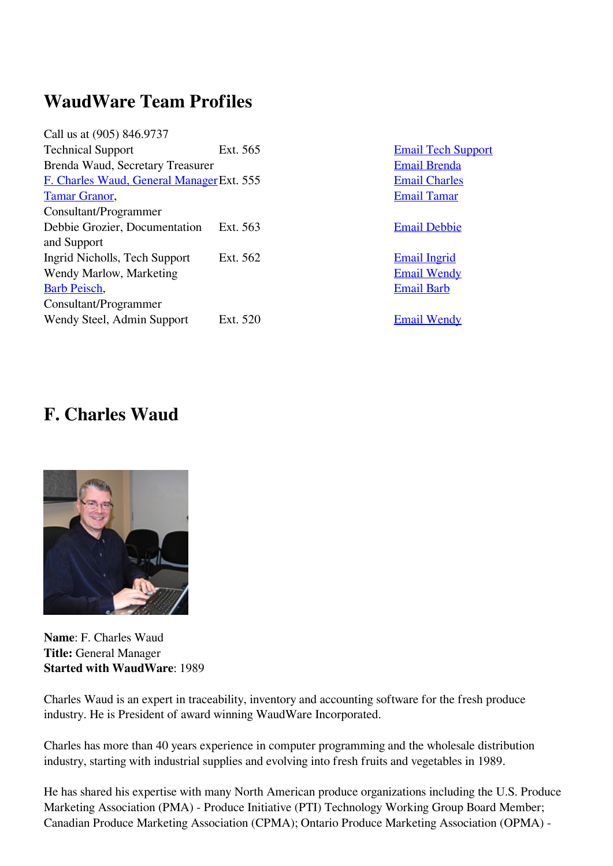## **WaudWare Team Profiles**

| Call us at (905) 846.9737                 |          |
|-------------------------------------------|----------|
| <b>Technical Support</b>                  | Ext. 565 |
| Brenda Waud, Secretary Treasurer          |          |
| F. Charles Waud, General Manager Ext. 555 |          |
| <b>Tamar Granor,</b>                      |          |
| Consultant/Programmer                     |          |
| Debbie Grozier, Documentation             | Ext. 563 |
| and Support                               |          |
| Ingrid Nicholls, Tech Support             | Ext. 562 |
| Wendy Marlow, Marketing                   |          |
| Barb Peisch,                              |          |
| Consultant/Programmer                     |          |
| Wendy Steel, Admin Support                | Ext. 520 |
|                                           |          |

**[Email Tech Support](mailto:support@waudware.com?subject=WaudWare%20Web%20Enquiry%20Tech%20Support) [Email Brenda](mailto:brenda.waud@waudware.com?subject=WaudWare%20Web%20Enquiry) [Email Charles](mailto:f.charles.waud@waudware.com?subject=WaudWare%20Web%20Enquiry)** [Email Tamar](mailto:tamar.granor@waudware.com?subject=WaudWare%20Web%20Enquiry)

[Email Debbie](mailto:debbie.grozier@waudware.com?subject=WaudWare%20Web%20Enquiry)

**[Email Ingrid](mailto:ingrid.nicholls@waudware.com?subject=WaudWare%20Web%20Enquiry) [Email Wendy](mailto:wendy.marlow@waudware.com?subject=WaudWare%20Web%20Enquiry)** [Email Barb](mailto:barb.peisch@waudware.com?subject=WaudWare%20Web%20Enquiry)

**[Email Wendy](mailto:wendy.steel@waudware.com?subject=WaudWare%20Web%20Enquiry)** 

## **F. Charles Waud**



**Name**: F. Charles Waud **Title:** General Manager **Started with WaudWare**: 1989

Charles Waud is an expert in traceability, inventory and accounting software for the fresh produce industry. He is President of award winning WaudWare Incorporated.

Charles has more than 40 years experience in computer programming and the wholesale distribution industry, starting with industrial supplies and evolving into fresh fruits and vegetables in 1989.

He has shared his expertise with many North American produce organizations including the U.S. Produce Marketing Association (PMA) - Produce Initiative (PTI) Technology Working Group Board Member; Canadian Produce Marketing Association (CPMA); Ontario Produce Marketing Association (OPMA) -